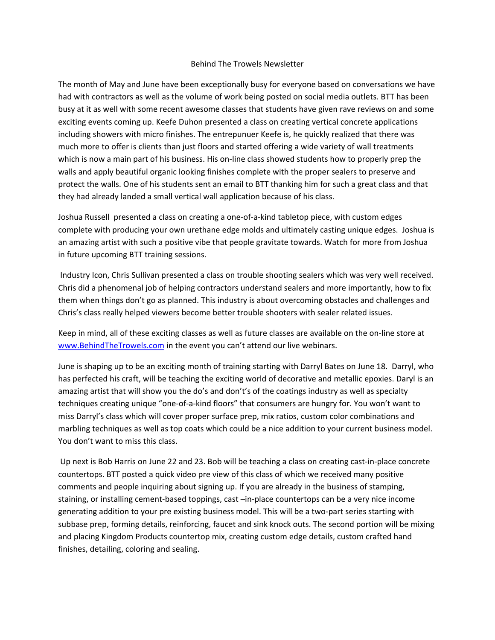## Behind The Trowels Newsletter

The month of May and June have been exceptionally busy for everyone based on conversations we have had with contractors as well as the volume of work being posted on social media outlets. BTT has been busy at it as well with some recent awesome classes that students have given rave reviews on and some exciting events coming up. Keefe Duhon presented a class on creating vertical concrete applications including showers with micro finishes. The entrepunuer Keefe is, he quickly realized that there was much more to offer is clients than just floors and started offering a wide variety of wall treatments which is now a main part of his business. His on-line class showed students how to properly prep the walls and apply beautiful organic looking finishes complete with the proper sealers to preserve and protect the walls. One of his students sent an email to BTT thanking him for such a great class and that they had already landed a small vertical wall application because of his class.

Joshua Russell presented a class on creating a one‐of‐a‐kind tabletop piece, with custom edges complete with producing your own urethane edge molds and ultimately casting unique edges. Joshua is an amazing artist with such a positive vibe that people gravitate towards. Watch for more from Joshua in future upcoming BTT training sessions.

 Industry Icon, Chris Sullivan presented a class on trouble shooting sealers which was very well received. Chris did a phenomenal job of helping contractors understand sealers and more importantly, how to fix them when things don't go as planned. This industry is about overcoming obstacles and challenges and Chris's class really helped viewers become better trouble shooters with sealer related issues.

Keep in mind, all of these exciting classes as well as future classes are available on the on‐line store at www.BehindTheTrowels.com in the event you can't attend our live webinars.

June is shaping up to be an exciting month of training starting with Darryl Bates on June 18. Darryl, who has perfected his craft, will be teaching the exciting world of decorative and metallic epoxies. Daryl is an amazing artist that will show you the do's and don't's of the coatings industry as well as specialty techniques creating unique "one‐of‐a‐kind floors" that consumers are hungry for. You won't want to miss Darryl's class which will cover proper surface prep, mix ratios, custom color combinations and marbling techniques as well as top coats which could be a nice addition to your current business model. You don't want to miss this class.

 Up next is Bob Harris on June 22 and 23. Bob will be teaching a class on creating cast‐in‐place concrete countertops. BTT posted a quick video pre view of this class of which we received many positive comments and people inquiring about signing up. If you are already in the business of stamping, staining, or installing cement‐based toppings, cast –in‐place countertops can be a very nice income generating addition to your pre existing business model. This will be a two-part series starting with subbase prep, forming details, reinforcing, faucet and sink knock outs. The second portion will be mixing and placing Kingdom Products countertop mix, creating custom edge details, custom crafted hand finishes, detailing, coloring and sealing.